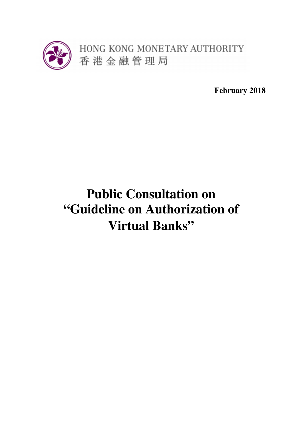

 **February 2018** 

# **Public Consultation on "Guideline on Authorization of Virtual Banks"**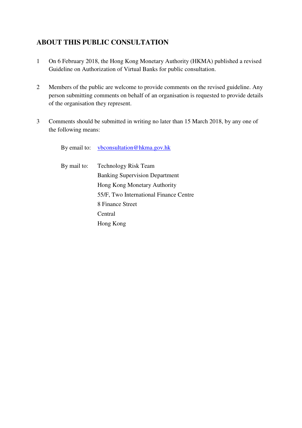# **ABOUT THIS PUBLIC CONSULTATION**

- 1 On 6 February 2018, the Hong Kong Monetary Authority (HKMA) published a revised Guideline on Authorization of Virtual Banks for public consultation.
- 2 Members of the public are welcome to provide comments on the revised guideline. Any person submitting comments on behalf of an organisation is requested to provide details of the organisation they represent.
- 3 Comments should be submitted in writing no later than 15 March 2018, by any one of the following means:

By email to: vbconsultation@hkma.gov.hk

By mail to: Banking Supervision Department Hong Kong Monetary Authority 55/F, Two International Finance Centre 8 Finance Street Hong Kong Technology Risk Team Central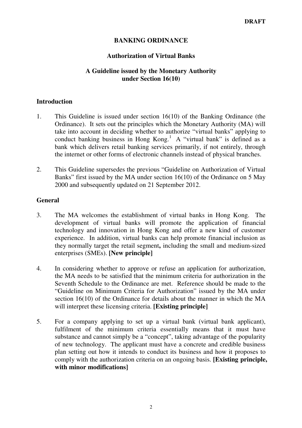# **BANKING ORDINANCE**

# **Authorization of Virtual Banks**

# **A Guideline issued by the Monetary Authority under Section 16(10)**

#### **Introduction**

- $1.$  Ordinance). It sets out the principles which the Monetary Authority (MA) will take into account in deciding whether to authorize "virtual banks" applying to conduct banking business in Hong  $Kong<sup>1</sup>$ . A "virtual bank" is defined as a bank which delivers retail banking services primarily, if not entirely, through the internet or other forms of electronic channels instead of physical branches. This Guideline is issued under section  $16(10)$  of the Banking Ordinance (the
- $2.$  Banks" first issued by the MA under section 16(10) of the Ordinance on 5 May 2000 and subsequently updated on 21 September 2012. This Guideline supersedes the previous "Guideline on Authorization of Virtual

#### **General**

- $3.$  development of virtual banks will promote the application of financial technology and innovation in Hong Kong and offer a new kind of customer experience. In addition, virtual banks can help promote financial inclusion as they normally target the retail segment**,** including the small and medium-sized enterprises (SMEs). **[New principle]**  The MA welcomes the establishment of virtual banks in Hong Kong. The
- $4.$  the MA needs to be satisfied that the minimum criteria for authorization in the Seventh Schedule to the Ordinance are met. Reference should be made to the "Guideline on Minimum Criteria for Authorization" issued by the MA under section 16(10) of the Ordinance for details about the manner in which the MA will interpret these licensing criteria. **[Existing principle]**  In considering whether to approve or refuse an application for authorization,
- $5<sub>1</sub>$  fulfilment of the minimum criteria essentially means that it must have substance and cannot simply be a "concept", taking advantage of the popularity of new technology. The applicant must have a concrete and credible business plan setting out how it intends to conduct its business and how it proposes to comply with the authorization criteria on an ongoing basis. **[Existing principle, with minor modifications]**  For a company applying to set up a virtual bank (virtual bank applicant),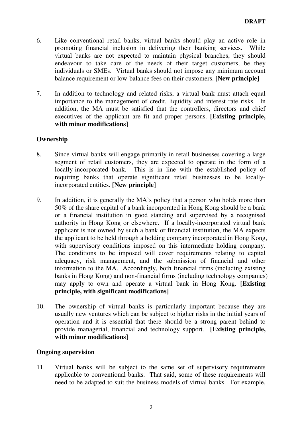- 6. promoting financial inclusion in delivering their banking services. While virtual banks are not expected to maintain physical branches, they should endeavour to take care of the needs of their target customers, be they individuals or SMEs. Virtual banks should not impose any minimum account balance requirement or low-balance fees on their customers. **[New principle]**  Like conventional retail banks, virtual banks should play an active role in
- $7<sup>1</sup>$  importance to the management of credit, liquidity and interest rate risks. In addition, the MA must be satisfied that the controllers, directors and chief executives of the applicant are fit and proper persons. **[Existing principle, with minor modifications]**  In addition to technology and related risks, a virtual bank must attach equal

# **Ownership**

- $\mathsf{R}$ . segment of retail customers, they are expected to operate in the form of a locally-incorporated bank. This is in line with the established policy of requiring banks that operate significant retail businesses to be locally- incorporated entities. **[New principle]**  Since virtual banks will engage primarily in retail businesses covering a large
- 9. 50% of the share capital of a bank incorporated in Hong Kong should be a bank or a financial institution in good standing and supervised by a recognised authority in Hong Kong or elsewhere. If a locally-incorporated virtual bank applicant is not owned by such a bank or financial institution, the MA expects the applicant to be held through a holding company incorporated in Hong Kong, with supervisory conditions imposed on this intermediate holding company. The conditions to be imposed will cover requirements relating to capital adequacy, risk management, and the submission of financial and other information to the MA. Accordingly, both financial firms (including existing banks in Hong Kong) and non-financial firms (including technology companies) may apply to own and operate a virtual bank in Hong Kong. **[Existing principle, with significant modifications]**  In addition, it is generally the MA's policy that a person who holds more than
- $10.$  usually new ventures which can be subject to higher risks in the initial years of operation and it is essential that there should be a strong parent behind to provide managerial, financial and technology support. **[Existing principle, with minor modifications]**  The ownership of virtual banks is particularly important because they are

#### **Ongoing supervision**

 $11.$  applicable to conventional banks. That said, some of these requirements will need to be adapted to suit the business models of virtual banks. For example, Virtual banks will be subject to the same set of supervisory requirements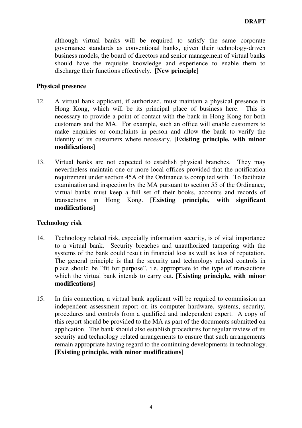although virtual banks will be required to satisfy the same corporate governance standards as conventional banks, given their technology-driven business models, the board of directors and senior management of virtual banks should have the requisite knowledge and experience to enable them to discharge their functions effectively. **[New principle]** 

#### **Physical presence**

- 12. Hong Kong, which will be its principal place of business here. This is necessary to provide a point of contact with the bank in Hong Kong for both customers and the MA. For example, such an office will enable customers to make enquiries or complaints in person and allow the bank to verify the identity of its customers where necessary. **[Existing principle, with minor**  A virtual bank applicant, if authorized, must maintain a physical presence in **modifications]**
- 13. nevertheless maintain one or more local offices provided that the notification requirement under section 45A of the Ordinance is complied with. To facilitate examination and inspection by the MA pursuant to section 55 of the Ordinance, virtual banks must keep a full set of their books, accounts and records of transactions in Hong Kong. **[Existing principle, with significant**  Virtual banks are not expected to establish physical branches. They may **modifications]**

#### **Technology risk**

- 14. Technology related risk, especially information security, is of vital importance to a virtual bank. Security breaches and unauthorized tampering with the systems of the bank could result in financial loss as well as loss of reputation. The general principle is that the security and technology related controls in place should be "fit for purpose", i.e. appropriate to the type of transactions which the virtual bank intends to carry out. **[Existing principle, with minor modifications]**
- $15.$  independent assessment report on its computer hardware, systems, security, procedures and controls from a qualified and independent expert. A copy of this report should be provided to the MA as part of the documents submitted on application. The bank should also establish procedures for regular review of its security and technology related arrangements to ensure that such arrangements remain appropriate having regard to the continuing developments in technology.  **[Existing principle, with minor modifications]**  In this connection, a virtual bank applicant will be required to commission an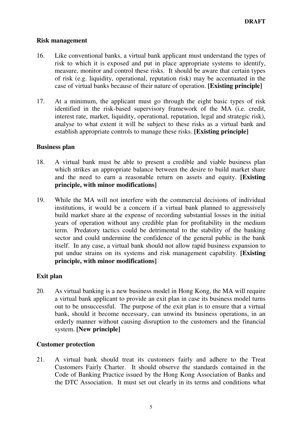#### **Risk management**

- 16. risk to which it is exposed and put in place appropriate systems to identify, measure, monitor and control these risks. It should be aware that certain types of risk (e.g. liquidity, operational, reputation risk) may be accentuated in the case of virtual banks because of their nature of operation. **[Existing principle]**  Like conventional banks, a virtual bank applicant must understand the types of
- 17. identified in the risk-based supervisory framework of the MA (i.e. credit, interest rate, market, liquidity, operational, reputation, legal and strategic risk), analyse to what extent it will be subject to these risks as a virtual bank and establish appropriate controls to manage these risks. **[Existing principle]**  At a minimum, the applicant must go through the eight basic types of risk

#### **Business plan**

- 18. which strikes an appropriate balance between the desire to build market share and the need to earn a reasonable return on assets and equity. **[Existing principle, with minor modifications]**  A virtual bank must be able to present a credible and viable business plan
- 19. institutions, it would be a concern if a virtual bank planned to aggressively build market share at the expense of recording substantial losses in the initial years of operation without any credible plan for profitability in the medium term. Predatory tactics could be detrimental to the stability of the banking sector and could undermine the confidence of the general public in the bank itself. In any case, a virtual bank should not allow rapid business expansion to put undue strains on its systems and risk management capability. **[Existing principle, with minor modifications]**  While the MA will not interfere with the commercial decisions of individual

# **Exit plan**

20. a virtual bank applicant to provide an exit plan in case its business model turns out to be unsuccessful. The purpose of the exit plan is to ensure that a virtual bank, should it become necessary, can unwind its business operations, in an orderly manner without causing disruption to the customers and the financial As virtual banking is a new business model in Hong Kong, the MA will require system. **[New principle]** 

#### **Customer protection**

 $21$  Customers Fairly Charter. It should observe the standards contained in the Code of Banking Practice issued by the Hong Kong Association of Banks and the DTC Association. It must set out clearly in its terms and conditions what A virtual bank should treat its customers fairly and adhere to the Treat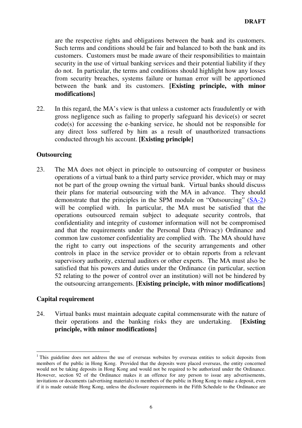are the respective rights and obligations between the bank and its customers. Such terms and conditions should be fair and balanced to both the bank and its customers. Customers must be made aware of their responsibilities to maintain security in the use of virtual banking services and their potential liability if they do not. In particular, the terms and conditions should highlight how any losses from security breaches, systems failure or human error will be apportioned between the bank and its customers. **[Existing principle, with minor modifications]** 

22. gross negligence such as failing to properly safeguard his device(s) or secret code(s) for accessing the e-banking service, he should not be responsible for any direct loss suffered by him as a result of unauthorized transactions conducted through his account. **[Existing principle]**  In this regard, the MA's view is that unless a customer acts fraudulently or with

#### **Outsourcing**

23. operations of a virtual bank to a third party service provider, which may or may not be part of the group owning the virtual bank. Virtual banks should discuss their plans for material outsourcing with the MA in advance. They should demonstrate that the principles in the SPM module on "Outsourcing"  $(SA-2)$  will be complied with. In particular, the MA must be satisfied that the operations outsourced remain subject to adequate security controls, that confidentiality and integrity of customer information will not be compromised and that the requirements under the Personal Data (Privacy) Ordinance and common law customer confidentiality are complied with. The MA should have the right to carry out inspections of the security arrangements and other controls in place in the service provider or to obtain reports from a relevant supervisory authority, external auditors or other experts. The MA must also be satisfied that his powers and duties under the Ordinance (in particular, section 52 relating to the power of control over an institution) will not be hindered by the outsourcing arrangements. **[Existing principle, with minor modifications]**  The MA does not object in principle to outsourcing of computer or business

#### **Capital requirement**

24. their operations and the banking risks they are undertaking. **[Existing principle, with minor modifications]**  Virtual banks must maintain adequate capital commensurate with the nature of

 $\overline{a}$ <sup>1</sup> This guideline does not address the use of overseas websites by overseas entities to solicit deposits from members of the public in Hong Kong. Provided that the deposits were placed overseas, the entity concerned would not be taking deposits in Hong Kong and would not be required to be authorized under the Ordinance. However, section 92 of the Ordinance makes it an offence for any person to issue any advertisements, invitations or documents (advertising materials) to members of the public in Hong Kong to make a deposit, even if it is made outside Hong Kong, unless the disclosure requirements in the Fifth Schedule to the Ordinance are